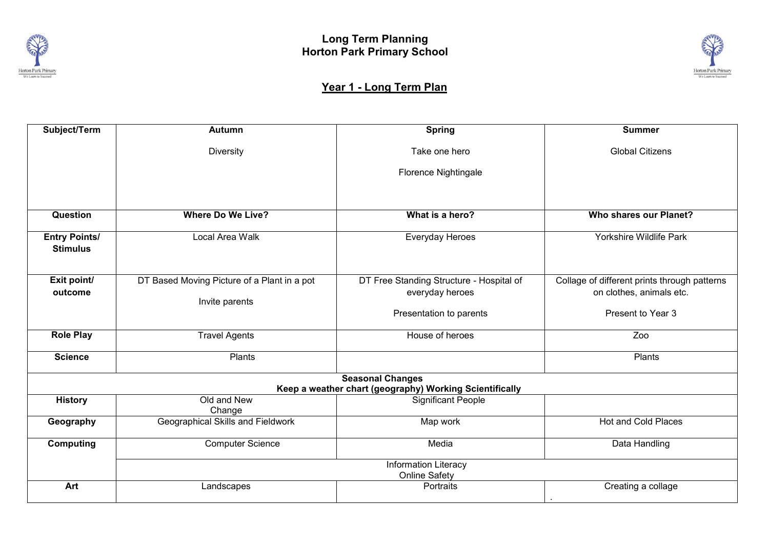



## **Year 1 - Long Term Plan**

| Subject/Term                                                                       | <b>Autumn</b>                               | <b>Spring</b>                            | <b>Summer</b>                                |  |  |  |  |  |  |
|------------------------------------------------------------------------------------|---------------------------------------------|------------------------------------------|----------------------------------------------|--|--|--|--|--|--|
|                                                                                    | Diversity                                   | Take one hero                            | <b>Global Citizens</b>                       |  |  |  |  |  |  |
|                                                                                    |                                             |                                          |                                              |  |  |  |  |  |  |
|                                                                                    |                                             | Florence Nightingale                     |                                              |  |  |  |  |  |  |
|                                                                                    |                                             |                                          |                                              |  |  |  |  |  |  |
| Question                                                                           | <b>Where Do We Live?</b>                    | What is a hero?                          | Who shares our Planet?                       |  |  |  |  |  |  |
|                                                                                    |                                             |                                          |                                              |  |  |  |  |  |  |
| <b>Entry Points/</b>                                                               | Local Area Walk                             | Everyday Heroes                          | <b>Yorkshire Wildlife Park</b>               |  |  |  |  |  |  |
| <b>Stimulus</b>                                                                    |                                             |                                          |                                              |  |  |  |  |  |  |
|                                                                                    |                                             |                                          |                                              |  |  |  |  |  |  |
| Exit point/                                                                        | DT Based Moving Picture of a Plant in a pot | DT Free Standing Structure - Hospital of | Collage of different prints through patterns |  |  |  |  |  |  |
| outcome                                                                            | Invite parents                              | everyday heroes                          | on clothes, animals etc.                     |  |  |  |  |  |  |
|                                                                                    |                                             | Presentation to parents                  | Present to Year 3                            |  |  |  |  |  |  |
|                                                                                    |                                             |                                          |                                              |  |  |  |  |  |  |
| <b>Role Play</b>                                                                   | <b>Travel Agents</b>                        | House of heroes                          | Zoo                                          |  |  |  |  |  |  |
| <b>Science</b>                                                                     | Plants                                      |                                          | Plants                                       |  |  |  |  |  |  |
|                                                                                    |                                             |                                          |                                              |  |  |  |  |  |  |
| <b>Seasonal Changes</b><br>Keep a weather chart (geography) Working Scientifically |                                             |                                          |                                              |  |  |  |  |  |  |
| <b>History</b>                                                                     | Old and New                                 | <b>Significant People</b>                |                                              |  |  |  |  |  |  |
|                                                                                    | Change                                      |                                          |                                              |  |  |  |  |  |  |
| Geography                                                                          | Geographical Skills and Fieldwork           | Map work                                 | <b>Hot and Cold Places</b>                   |  |  |  |  |  |  |
| Computing                                                                          | <b>Computer Science</b>                     | Media                                    | Data Handling                                |  |  |  |  |  |  |
|                                                                                    | Information Literacy                        |                                          |                                              |  |  |  |  |  |  |
|                                                                                    | <b>Online Safety</b>                        |                                          |                                              |  |  |  |  |  |  |
| Art                                                                                | Landscapes                                  | Portraits                                | Creating a collage                           |  |  |  |  |  |  |
|                                                                                    |                                             |                                          |                                              |  |  |  |  |  |  |